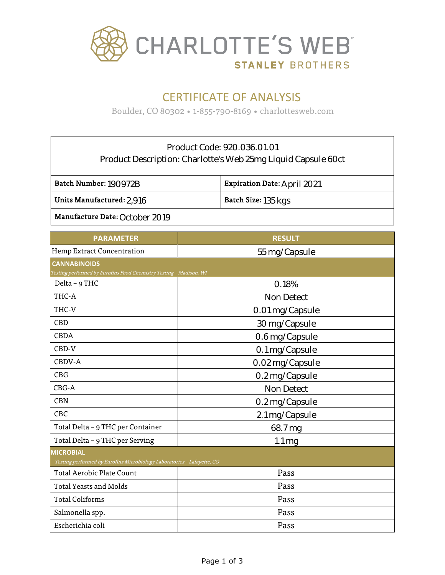

# CERTIFICATE OF ANALYSIS

Boulder, CO 80302 • 1-855-790-8169 • charlottesweb.com

### Product Code: 920.036.01.01 Product Description: Charlotte's Web 25mg Liquid Capsule 60ct

Batch Number: 190972B

Expiration Date: April 2021

Units Manufactured: 2.916

Batch Size: 135 kgs

Manufacture Date: October 2019

| <b>PARAMETER</b>                                                        | <b>RESULT</b>       |  |  |
|-------------------------------------------------------------------------|---------------------|--|--|
| Hemp Extract Concentration                                              | 55 mg/Capsule       |  |  |
| <b>CANNABINOIDS</b>                                                     |                     |  |  |
| Testing performed by Eurofins Food Chemistry Testing - Madison, WI      |                     |  |  |
| Delta - 9 THC                                                           | 0.18%               |  |  |
| THC-A                                                                   | <b>Non Detect</b>   |  |  |
| THC-V                                                                   | 0.01 mg/Capsule     |  |  |
| <b>CBD</b>                                                              | 30 mg/Capsule       |  |  |
| <b>CBDA</b>                                                             | 0.6 mg/Capsule      |  |  |
| CBD-V                                                                   | 0.1 mg/Capsule      |  |  |
| CBDV-A                                                                  | 0.02 mg/Capsule     |  |  |
| <b>CBG</b>                                                              | 0.2 mg/Capsule      |  |  |
| CBG-A                                                                   | <b>Non Detect</b>   |  |  |
| <b>CBN</b>                                                              | 0.2 mg/Capsule      |  |  |
| CBC                                                                     | 2.1 mg/Capsule      |  |  |
| Total Delta - 9 THC per Container                                       | 68.7 mg             |  |  |
| Total Delta - 9 THC per Serving                                         | $1.1 \,\mathrm{mg}$ |  |  |
| <b>MICROBIAL</b>                                                        |                     |  |  |
| Testing performed by Eurofins Microbiology Laboratories - Lafayette, CO |                     |  |  |
| <b>Total Aerobic Plate Count</b>                                        | Pass                |  |  |
| <b>Total Yeasts and Molds</b>                                           | Pass                |  |  |
| <b>Total Coliforms</b>                                                  | Pass                |  |  |
| Salmonella spp.                                                         | Pass                |  |  |
| Escherichia coli                                                        | Pass                |  |  |
|                                                                         |                     |  |  |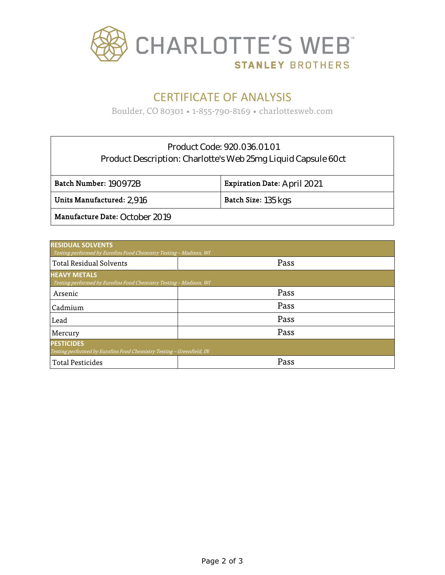

## CERTIFICATE OF ANALYSIS

Boulder, CO 80301 • 1-855-790-8169 • charlottesweb.com

### Product Code: 920.036.01.01 Product Description: Charlotte's Web 25mg Liquid Capsule 60ct

| Batch Number: 190972B          | <b>Expiration Date: April 2021</b> |
|--------------------------------|------------------------------------|
| Units Manufactured: $2.916$    | Batch Size: 135 kgs                |
| Manufacture Date: October 2019 |                                    |

| <b>RESIDUAL SOLVENTS</b><br>Testing performed by Eurofins Food Chemistry Testing - Madison, WI |      |  |  |  |  |
|------------------------------------------------------------------------------------------------|------|--|--|--|--|
| <b>Total Residual Solvents</b>                                                                 | Pass |  |  |  |  |
| <b>HEAVY METALS</b><br>Testing performed by Eurofins Food Chemistry Testing - Madison, WI      |      |  |  |  |  |
| Arsenic                                                                                        | Pass |  |  |  |  |
| Cadmium                                                                                        | Pass |  |  |  |  |
| Lead                                                                                           | Pass |  |  |  |  |
| Mercury                                                                                        | Pass |  |  |  |  |
| <b>PESTICIDES</b><br>Testing performed by Eurofins Food Chemistry Testing - Greenfield, IN     |      |  |  |  |  |
| <b>Total Pesticides</b>                                                                        | Pass |  |  |  |  |